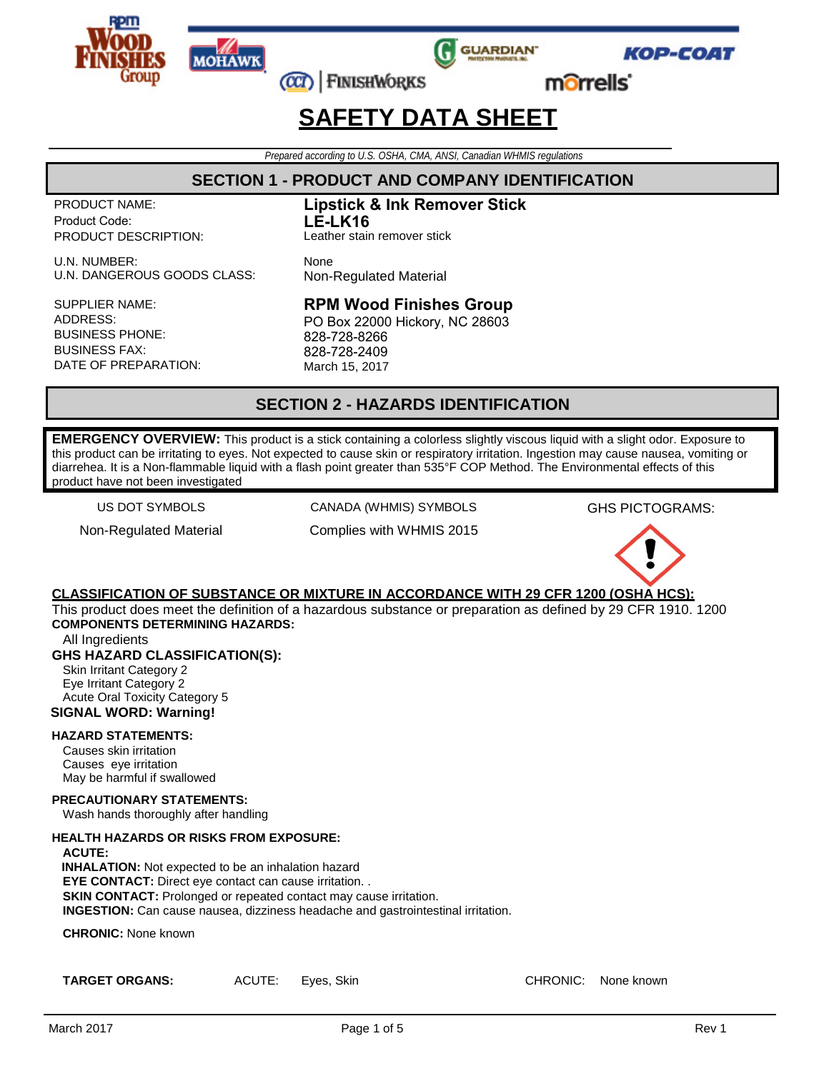







morrells'

## **SAFETY DATA SHEET**

*Prepared according to U.S. OSHA, CMA, ANSI, Canadian WHMIS regulations*

## **SECTION 1 - PRODUCT AND COMPANY IDENTIFICATION**

PRODUCT NAME: Product Code: PRODUCT DESCRIPTION:

U.N. NUMBER:<br>
U.N. DANGEROUS GOODS CLASS: Non-Regulated Material U.N. DANGEROUS GOODS CLASS:

SUPPLIER NAME: ADDRESS: BUSINESS PHONE: BUSINESS FAX: DATE OF PREPARATION: **Lipstick & Ink Remover Stick LE-LK16** Leather stain remover stick

### **RPM Wood Finishes Group**

PO Box 22000 Hickory, NC 28603 828-728-8266 828-728-2409 March 15, 2017

## **SECTION 2 - HAZARDS IDENTIFICATION**

**EMERGENCY OVERVIEW:** This product is a stick containing a colorless slightly viscous liquid with a slight odor. Exposure to this product can be irritating to eyes. Not expected to cause skin or respiratory irritation. Ingestion may cause nausea, vomiting or diarrehea. It is a Non-flammable liquid with a flash point greater than 535°F COP Method. The Environmental effects of this product have not been investigated

US DOT SYMBOLS

Non-Regulated Material

CANADA (WHMIS) SYMBOLS Complies with WHMIS 2015 GHS PICTOGRAMS:



### **CLASSIFICATION OF SUBSTANCE OR MIXTURE IN ACCORDANCE WITH 29 CFR 1200 (OSHA HCS):**

This product does meet the definition of a hazardous substance or preparation as defined by 29 CFR 1910. 1200 **COMPONENTS DETERMINING HAZARDS:**

All Ingredients

### **GHS HAZARD CLASSIFICATION(S):**

Skin Irritant Category 2 Eye Irritant Category 2 Acute Oral Toxicity Category 5 **SIGNAL WORD: Warning!**

#### **HAZARD STATEMENTS:**

Causes skin irritation Causes eye irritation May be harmful if swallowed

**PRECAUTIONARY STATEMENTS:**

Wash hands thoroughly after handling

#### **HEALTH HAZARDS OR RISKS FROM EXPOSURE:**

#### **ACUTE:**

**INHALATION:** Not expected to be an inhalation hazard **EYE CONTACT:** Direct eye contact can cause irritation. . **SKIN CONTACT:** Prolonged or repeated contact may cause irritation. **INGESTION:** Can cause nausea, dizziness headache and gastrointestinal irritation.

**CHRONIC:** None known

**TARGET ORGANS:** ACUTE: Eyes, Skin CHRONIC: None known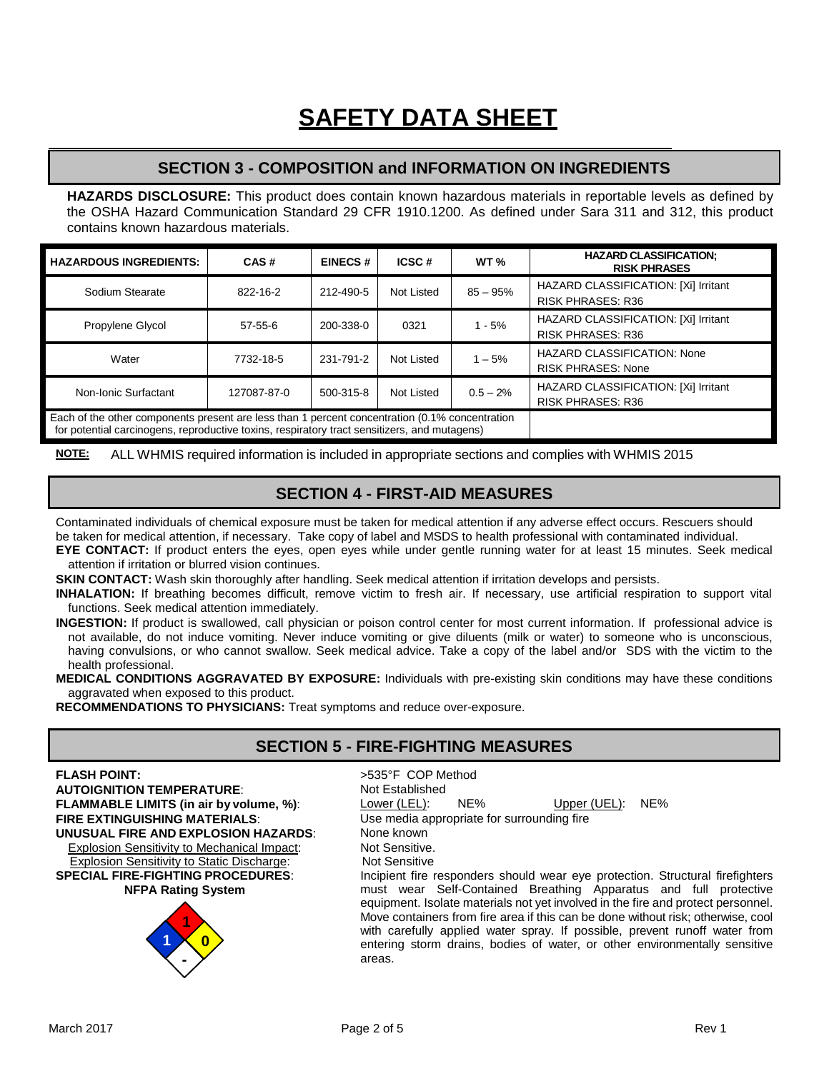## **SECTION 3 - COMPOSITION and INFORMATION ON INGREDIENTS**

**HAZARDS DISCLOSURE:** This product does contain known hazardous materials in reportable levels as defined by the OSHA Hazard Communication Standard 29 CFR 1910.1200. As defined under Sara 311 and 312, this product contains known hazardous materials.

| <b>HAZARDOUS INGREDIENTS:</b>                                                                                                                                                                  | CAS#          | <b>EINECS#</b> | ICSC#      | WT $\%$     | <b>HAZARD CLASSIFICATION:</b><br><b>RISK PHRASES</b>             |
|------------------------------------------------------------------------------------------------------------------------------------------------------------------------------------------------|---------------|----------------|------------|-------------|------------------------------------------------------------------|
| Sodium Stearate                                                                                                                                                                                | 822-16-2      | 212-490-5      | Not Listed | $85 - 95%$  | HAZARD CLASSIFICATION: [Xi] Irritant<br><b>RISK PHRASES: R36</b> |
| Propylene Glycol                                                                                                                                                                               | $57 - 55 - 6$ | 200-338-0      | 0321       | $1 - 5%$    | HAZARD CLASSIFICATION: [Xi] Irritant<br><b>RISK PHRASES: R36</b> |
| Water                                                                                                                                                                                          | 7732-18-5     | 231-791-2      | Not Listed | $1 - 5%$    | <b>HAZARD CLASSIFICATION: None</b><br><b>RISK PHRASES: None</b>  |
| Non-Ionic Surfactant                                                                                                                                                                           | 127087-87-0   | 500-315-8      | Not Listed | $0.5 - 2\%$ | HAZARD CLASSIFICATION: [Xi] Irritant<br><b>RISK PHRASES: R36</b> |
| Each of the other components present are less than 1 percent concentration (0.1% concentration<br>for potential carcinogens, reproductive toxins, respiratory tract sensitizers, and mutagens) |               |                |            |             |                                                                  |

**NOTE:** ALL WHMIS required information is included in appropriate sections and complies with WHMIS 2015

## **SECTION 4 - FIRST-AID MEASURES**

Contaminated individuals of chemical exposure must be taken for medical attention if any adverse effect occurs. Rescuers should be taken for medical attention, if necessary. Take copy of label and MSDS to health professional with contaminated individual.

**EYE CONTACT:** If product enters the eyes, open eyes while under gentle running water for at least 15 minutes. Seek medical attention if irritation or blurred vision continues.

**SKIN CONTACT:** Wash skin thoroughly after handling. Seek medical attention if irritation develops and persists.

**INHALATION:** If breathing becomes difficult, remove victim to fresh air. If necessary, use artificial respiration to support vital functions. Seek medical attention immediately.

**INGESTION:** If product is swallowed, call physician or poison control center for most current information. If professional advice is not available, do not induce vomiting. Never induce vomiting or give diluents (milk or water) to someone who is unconscious, having convulsions, or who cannot swallow. Seek medical advice. Take a copy of the label and/or SDS with the victim to the health professional.

**MEDICAL CONDITIONS AGGRAVATED BY EXPOSURE:** Individuals with pre-existing skin conditions may have these conditions aggravated when exposed to this product.

**RECOMMENDATIONS TO PHYSICIANS:** Treat symptoms and reduce over-exposure.

## **SECTION 5 - FIRE-FIGHTING MEASURES**

## **FLASH POINT:**<br> **AUTOIGNITION TEMPERATURE:**  $\qquad \qquad \rightarrow 535^{\circ}F$  COP Method **AUTOIGNITION TEMPERATURE: AUTOIGNITION TEMPERATURE:** Not Establish<br> **FLAMMABLE LIMITS (in air by volume, %):** Lower (LEL): **UNUSUAL FIRE AND EXPLOSION HAZARDS:** None known<br>Fxplosion Sensitivity to Mechanical Impact: Not Sensitive

Explosion Sensitivity to Mechanical Impact: Not Sensitive.<br>
Explosion Sensitivity to Static Discharge: Not Sensitive Explosion Sensitivity to Static Discharge: **SPECIAL FIRE-FIGHTING PROCEDURES**: **NFPA Rating System**



**FLAMMABLE LIMITS (in air by volume, %):** Lower (LEL): NE% Upper (UEL): NE%<br> **FIRE EXTINGUISHING MATERIALS:** Use media appropriate for surrounding fire **FIRE EXTINGUISH** Use media appropriate for surrounding fire None known Incipient fire responders should wear eye protection. Structural firefighters must wear Self-Contained Breathing Apparatus and full protective equipment. Isolate materials not yet involved in the fire and protect personnel. Move containers from fire area if this can be done without risk; otherwise, cool with carefully applied water spray. If possible, prevent runoff water from entering storm drains, bodies of water, or other environmentally sensitive

areas.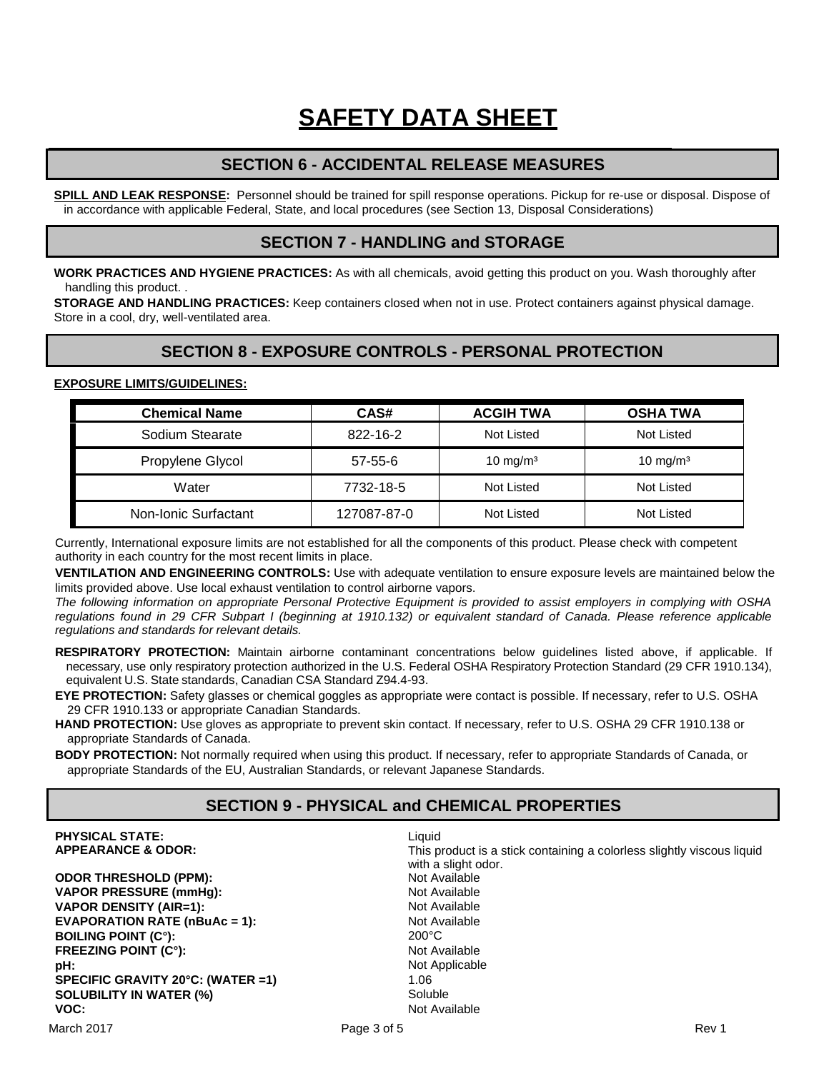## **SECTION 6 - ACCIDENTAL RELEASE MEASURES**

**SPILL AND LEAK RESPONSE:** Personnel should be trained for spill response operations. Pickup for re-use or disposal. Dispose of in accordance with applicable Federal, State, and local procedures (see Section 13, Disposal Considerations)

### **SECTION 7 - HANDLING and STORAGE**

**WORK PRACTICES AND HYGIENE PRACTICES:** As with all chemicals, avoid getting this product on you. Wash thoroughly after handling this product. .

**STORAGE AND HANDLING PRACTICES:** Keep containers closed when not in use. Protect containers against physical damage. Store in a cool, dry, well-ventilated area.

## **SECTION 8 - EXPOSURE CONTROLS - PERSONAL PROTECTION**

#### **EXPOSURE LIMITS/GUIDELINES:**

| <b>Chemical Name</b> | CAS#          | <b>ACGIH TWA</b>     | <b>OSHA TWA</b> |
|----------------------|---------------|----------------------|-----------------|
| Sodium Stearate      | 822-16-2      | Not Listed           | Not Listed      |
| Propylene Glycol     | $57 - 55 - 6$ | 10 mg/m <sup>3</sup> | 10 mg/m $3$     |
| Water                | 7732-18-5     | Not Listed           | Not Listed      |
| Non-Ionic Surfactant | 127087-87-0   | Not Listed           | Not Listed      |

Currently, International exposure limits are not established for all the components of this product. Please check with competent authority in each country for the most recent limits in place.

**VENTILATION AND ENGINEERING CONTROLS:** Use with adequate ventilation to ensure exposure levels are maintained below the limits provided above. Use local exhaust ventilation to control airborne vapors.

*The following information on appropriate Personal Protective Equipment is provided to assist employers in complying with OSHA regulations found in 29 CFR Subpart I (beginning at 1910.132) or equivalent standard of Canada. Please reference applicable regulations and standards for relevant details.*

- **RESPIRATORY PROTECTION:** Maintain airborne contaminant concentrations below guidelines listed above, if applicable. If necessary, use only respiratory protection authorized in the U.S. Federal OSHA Respiratory Protection Standard (29 CFR 1910.134), equivalent U.S. State standards, Canadian CSA Standard Z94.4-93.
- **EYE PROTECTION:** Safety glasses or chemical goggles as appropriate were contact is possible. If necessary, refer to U.S. OSHA 29 CFR 1910.133 or appropriate Canadian Standards.
- **HAND PROTECTION:** Use gloves as appropriate to prevent skin contact. If necessary, refer to U.S. OSHA 29 CFR 1910.138 or appropriate Standards of Canada.

**BODY PROTECTION:** Not normally required when using this product. If necessary, refer to appropriate Standards of Canada, or appropriate Standards of the EU, Australian Standards, or relevant Japanese Standards.

## **SECTION 9 - PHYSICAL and CHEMICAL PROPERTIES**

**PHYSICAL STATE:** Liquid<br> **APPEARANCE & ODOR:** CONTENT CONTRAST This p

**ODOR THRESHOLD (PPM): VAPOR PRESSURE (mmHg):** Not Available Not Available Not Available Not Available Not Available Not Available Not Available Not Available Not Available Not Available Not Available Not Available Not Available Not Available N **VAPOR DENSITY (AIR=1):** Not Available **EVAPORATION RATE (nBuAc = 1):** Not Available **EVAPORATION RATE (nBuAc = 1):** Not Available 1: Not Available 1: Not Available 1:  $\frac{200^{\circ}C}{200^{\circ}C}$ **BOILING POINT (C°):** 200°C **FREEZING POINT (C°): pH:**  $\begin{array}{ccc}\n\mathbf{pH:} & \mathbf{Not}\n\end{array}$  Applicable SPFCIFIC GRAVITY 20°C: (WATFR =1)  $\begin{array}{ccc}\n\mathbf{MATFR = 1} & \mathbf{MCT} & \mathbf{MCT} \\
\mathbf{MCT} & \mathbf{MCT} & \mathbf{MCT} & \mathbf{MCT} \\
\mathbf{MCT} & \mathbf{MCT} & \mathbf{MCT} & \mathbf{MCT} \\
\mathbf{MCT} & \mathbf{MCT} & \mathbf{MCT} & \mathbf{MCT} \\
\mathbf{MCT$ SPECIFIC GRAVITY 20°C: (WATER =1) **SOLUBILITY IN WATER (%)**<br> **VOC:** Not Ava

This product is a stick containing a colorless slightly viscous liquid with a slight odor.<br>Not Available **Not Available**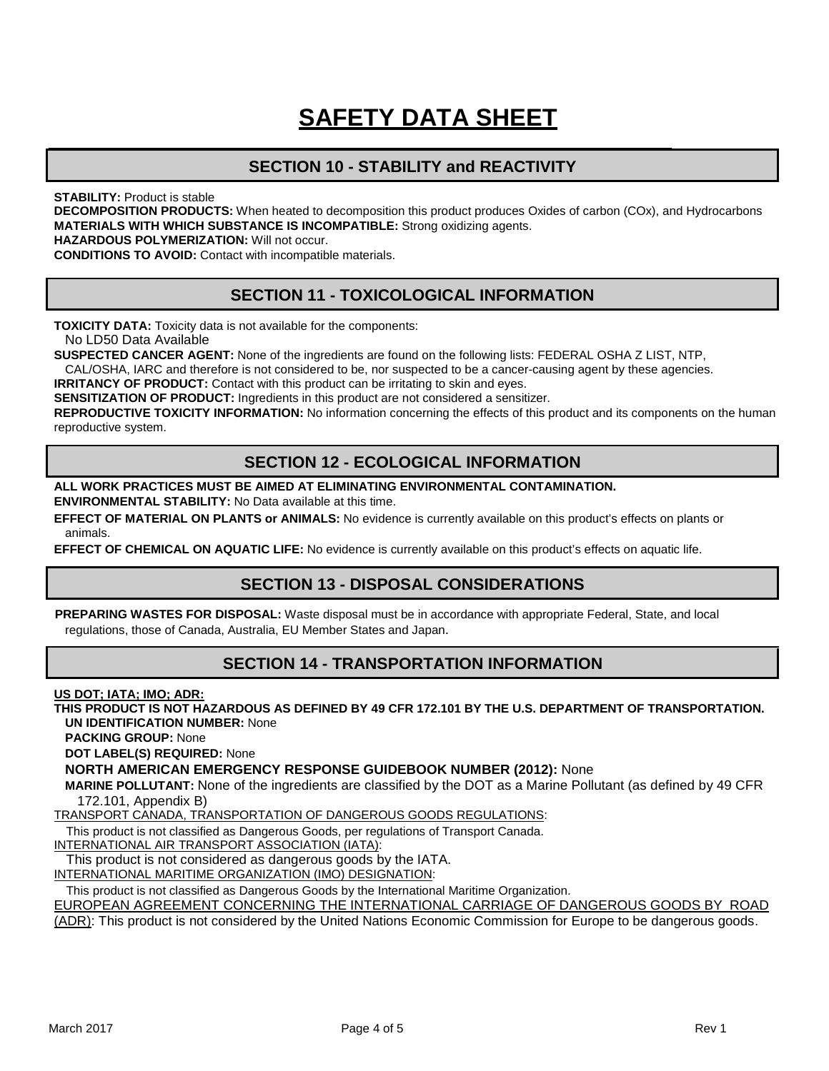## **SECTION 10 - STABILITY and REACTIVITY**

**STABILITY: Product is stable** 

**DECOMPOSITION PRODUCTS:** When heated to decomposition this product produces Oxides of carbon (COx), and Hydrocarbons **MATERIALS WITH WHICH SUBSTANCE IS INCOMPATIBLE:** Strong oxidizing agents.

**HAZARDOUS POLYMERIZATION:** Will not occur.

**CONDITIONS TO AVOID:** Contact with incompatible materials.

## **SECTION 11 - TOXICOLOGICAL INFORMATION**

**TOXICITY DATA:** Toxicity data is not available for the components:

No LD50 Data Available

**SUSPECTED CANCER AGENT:** None of the ingredients are found on the following lists: FEDERAL OSHA Z LIST, NTP, CAL/OSHA, IARC and therefore is not considered to be, nor suspected to be a cancer-causing agent by these agencies.

**IRRITANCY OF PRODUCT:** Contact with this product can be irritating to skin and eyes.

**SENSITIZATION OF PRODUCT:** Ingredients in this product are not considered a sensitizer.

**REPRODUCTIVE TOXICITY INFORMATION:** No information concerning the effects of this product and its components on the human reproductive system.

## **SECTION 12 - ECOLOGICAL INFORMATION**

**ALL WORK PRACTICES MUST BE AIMED AT ELIMINATING ENVIRONMENTAL CONTAMINATION.**

**ENVIRONMENTAL STABILITY:** No Data available at this time.

**EFFECT OF MATERIAL ON PLANTS or ANIMALS:** No evidence is currently available on this product's effects on plants or animals.

**EFFECT OF CHEMICAL ON AQUATIC LIFE:** No evidence is currently available on this product's effects on aquatic life.

## **SECTION 13 - DISPOSAL CONSIDERATIONS**

**PREPARING WASTES FOR DISPOSAL:** Waste disposal must be in accordance with appropriate Federal, State, and local regulations, those of Canada, Australia, EU Member States and Japan.

## **SECTION 14 - TRANSPORTATION INFORMATION**

**US DOT; IATA; IMO; ADR:**

**THIS PRODUCT IS NOT HAZARDOUS AS DEFINED BY 49 CFR 172.101 BY THE U.S. DEPARTMENT OF TRANSPORTATION. UN IDENTIFICATION NUMBER:** None

**PACKING GROUP:** None

**DOT LABEL(S) REQUIRED:** None

**NORTH AMERICAN EMERGENCY RESPONSE GUIDEBOOK NUMBER (2012):** None

**MARINE POLLUTANT:** None of the ingredients are classified by the DOT as a Marine Pollutant (as defined by 49 CFR 172.101, Appendix B)

TRANSPORT CANADA, TRANSPORTATION OF DANGEROUS GOODS REGULATIONS:

This product is not classified as Dangerous Goods, per regulations of Transport Canada.

INTERNATIONAL AIR TRANSPORT ASSOCIATION (IATA):

This product is not considered as dangerous goods by the IATA.

INTERNATIONAL MARITIME ORGANIZATION (IMO) DESIGNATION:

This product is not classified as Dangerous Goods by the International Maritime Organization.

EUROPEAN AGREEMENT CONCERNING THE INTERNATIONAL CARRIAGE OF DANGEROUS GOODS BY ROAD

(ADR): This product is not considered by the United Nations Economic Commission for Europe to be dangerous goods..